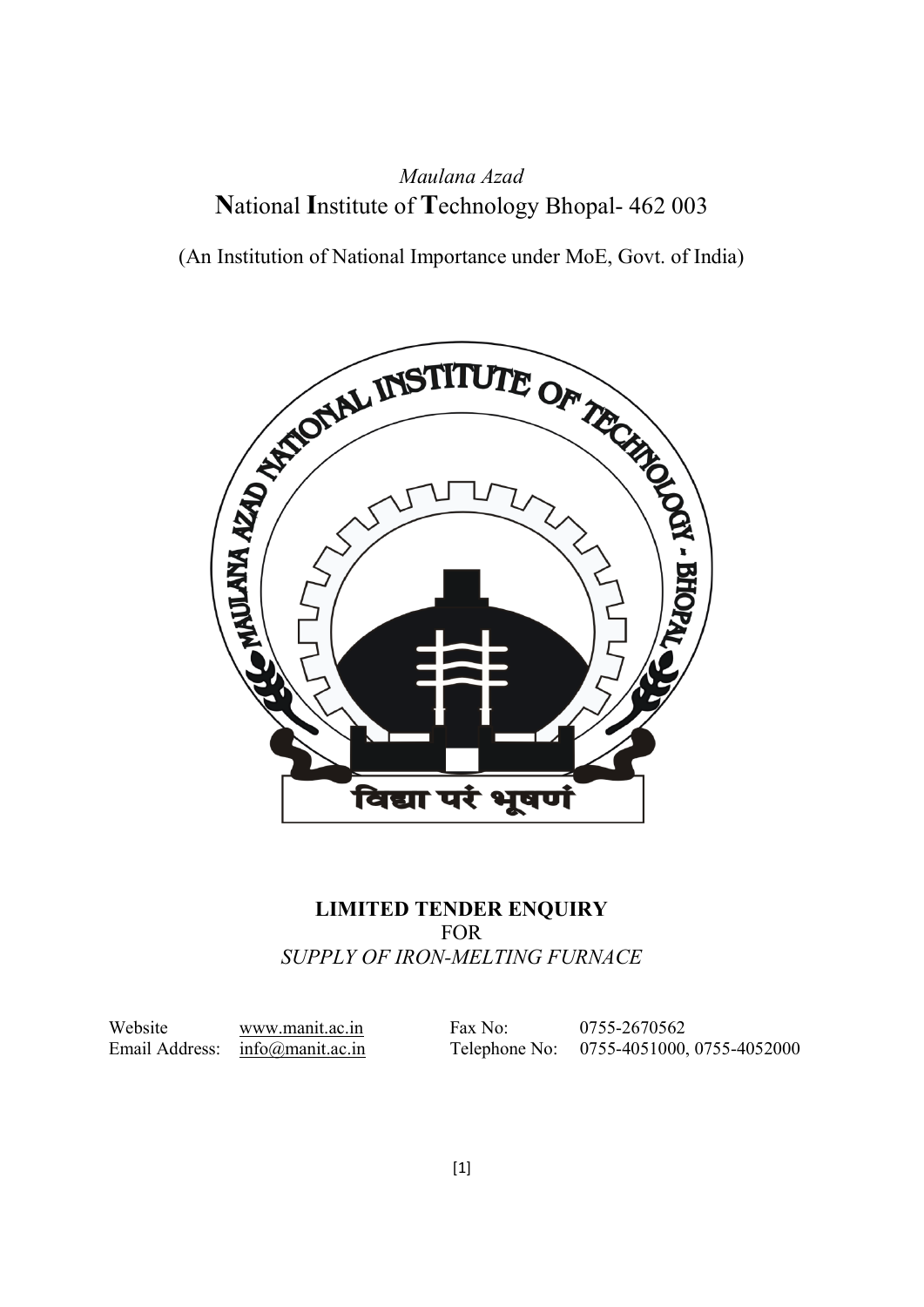## Maulana Azad National Institute of Technology Bhopal- 462 003

(An Institution of National Importance under MoE, Govt. of India)



### LIMITED TENDER ENQUIRY FOR SUPPLY OF IRON-MELTING FURNACE

Website www.manit.ac.in Fax No: 0755-2670562 Email Address: info@manit.ac.in Telephone No: 0755-4051000, 0755-4052000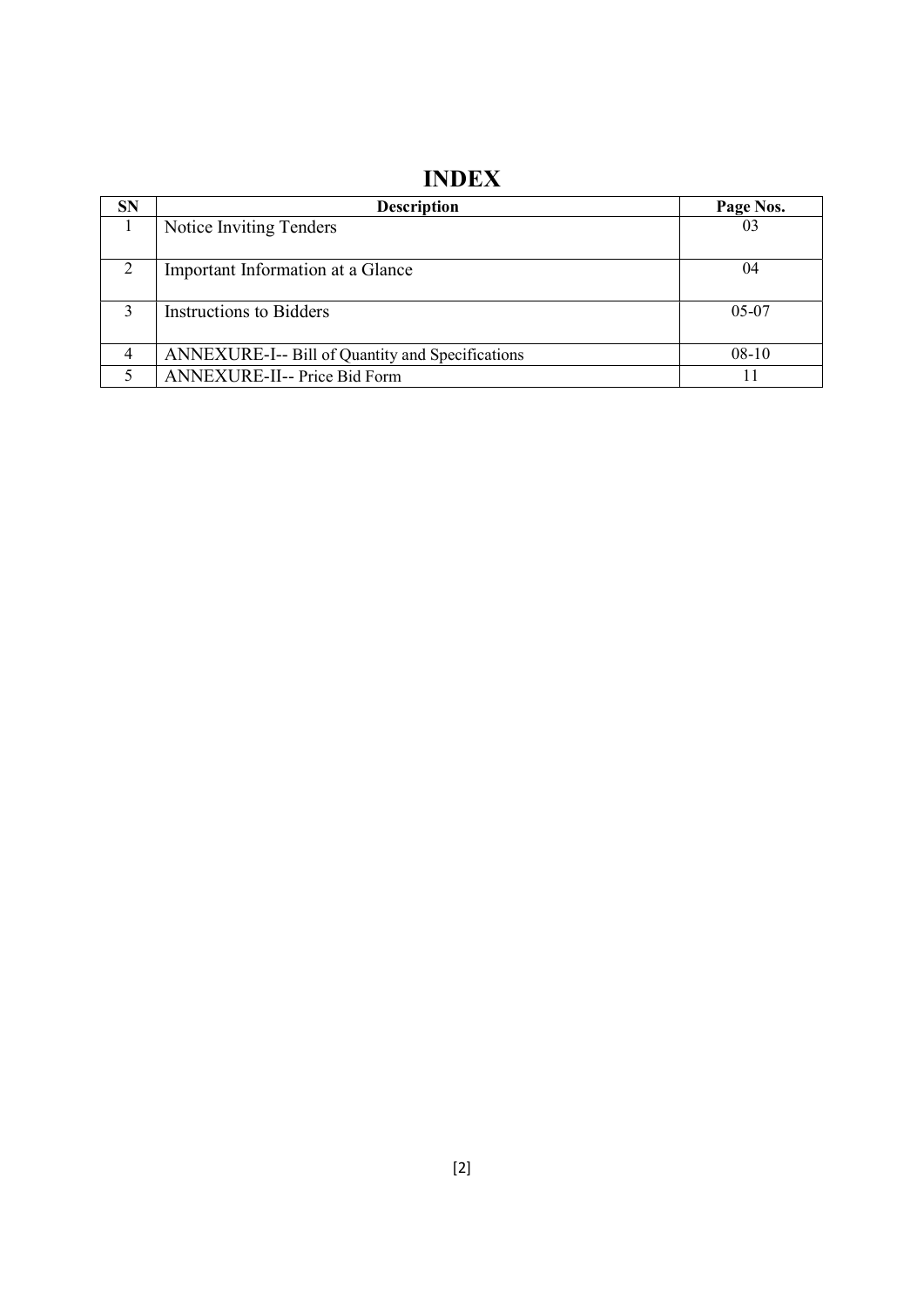# INDEX

| <b>SN</b>     | <b>Description</b>                               | Page Nos. |
|---------------|--------------------------------------------------|-----------|
|               | Notice Inviting Tenders                          | 03        |
| $\mathcal{D}$ | Important Information at a Glance                | 04        |
|               | Instructions to Bidders                          | $05-07$   |
| 4             | ANNEXURE-I-- Bill of Quantity and Specifications | $08-10$   |
|               | ANNEXURE-II-- Price Bid Form                     |           |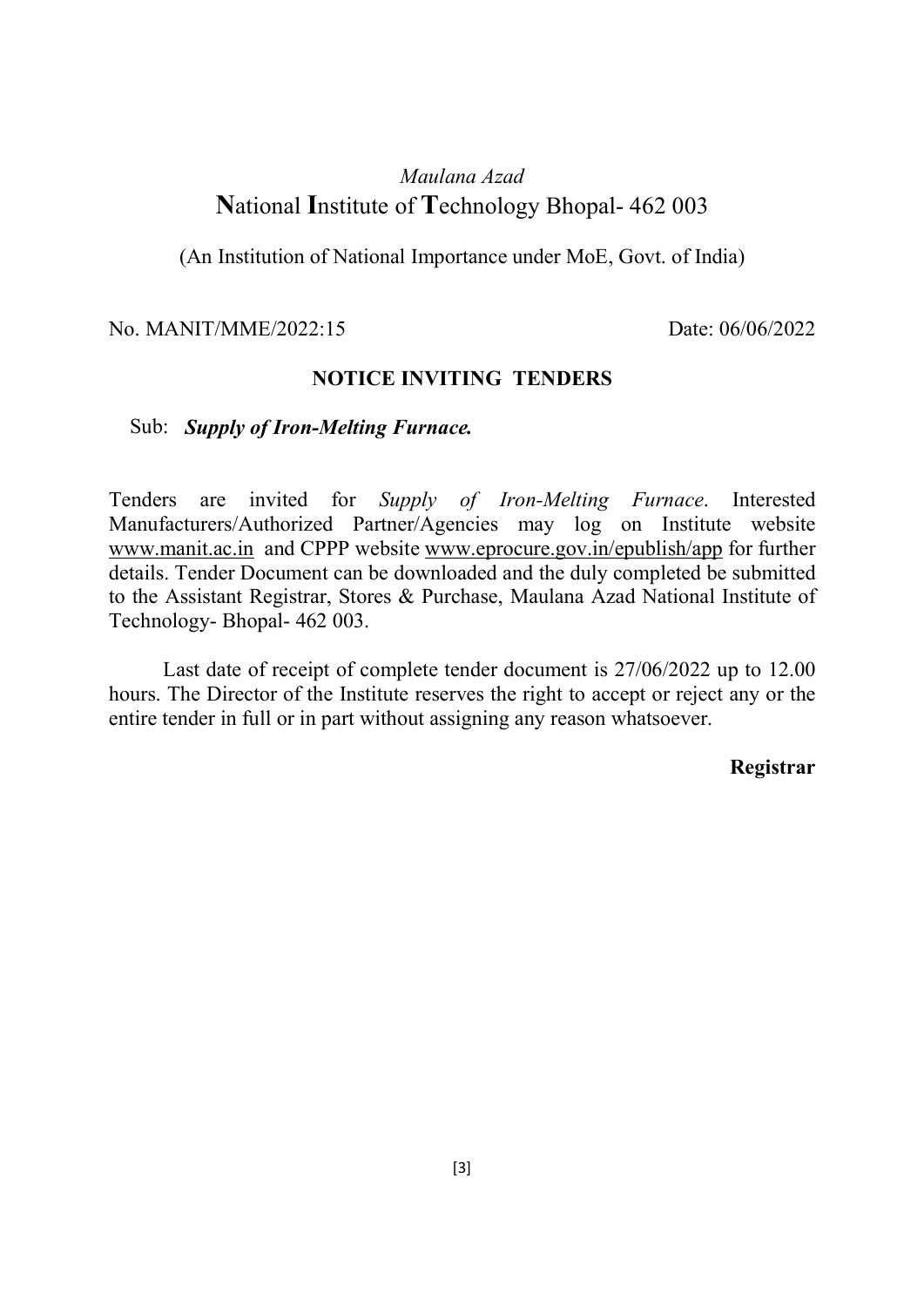## Maulana Azad National Institute of Technology Bhopal- 462 003

(An Institution of National Importance under MoE, Govt. of India)

#### No. MANIT/MME/2022:15 Date: 06/06/2022

#### NOTICE INVITING TENDERS

#### Sub: Supply of Iron-Melting Furnace.

Tenders are invited for Supply of Iron-Melting Furnace. Interested Manufacturers/Authorized Partner/Agencies may log on Institute website www.manit.ac.in and CPPP website www.eprocure.gov.in/epublish/app for further details. Tender Document can be downloaded and the duly completed be submitted to the Assistant Registrar, Stores & Purchase, Maulana Azad National Institute of Technology- Bhopal- 462 003.

 Last date of receipt of complete tender document is 27/06/2022 up to 12.00 hours. The Director of the Institute reserves the right to accept or reject any or the entire tender in full or in part without assigning any reason whatsoever.

#### Registrar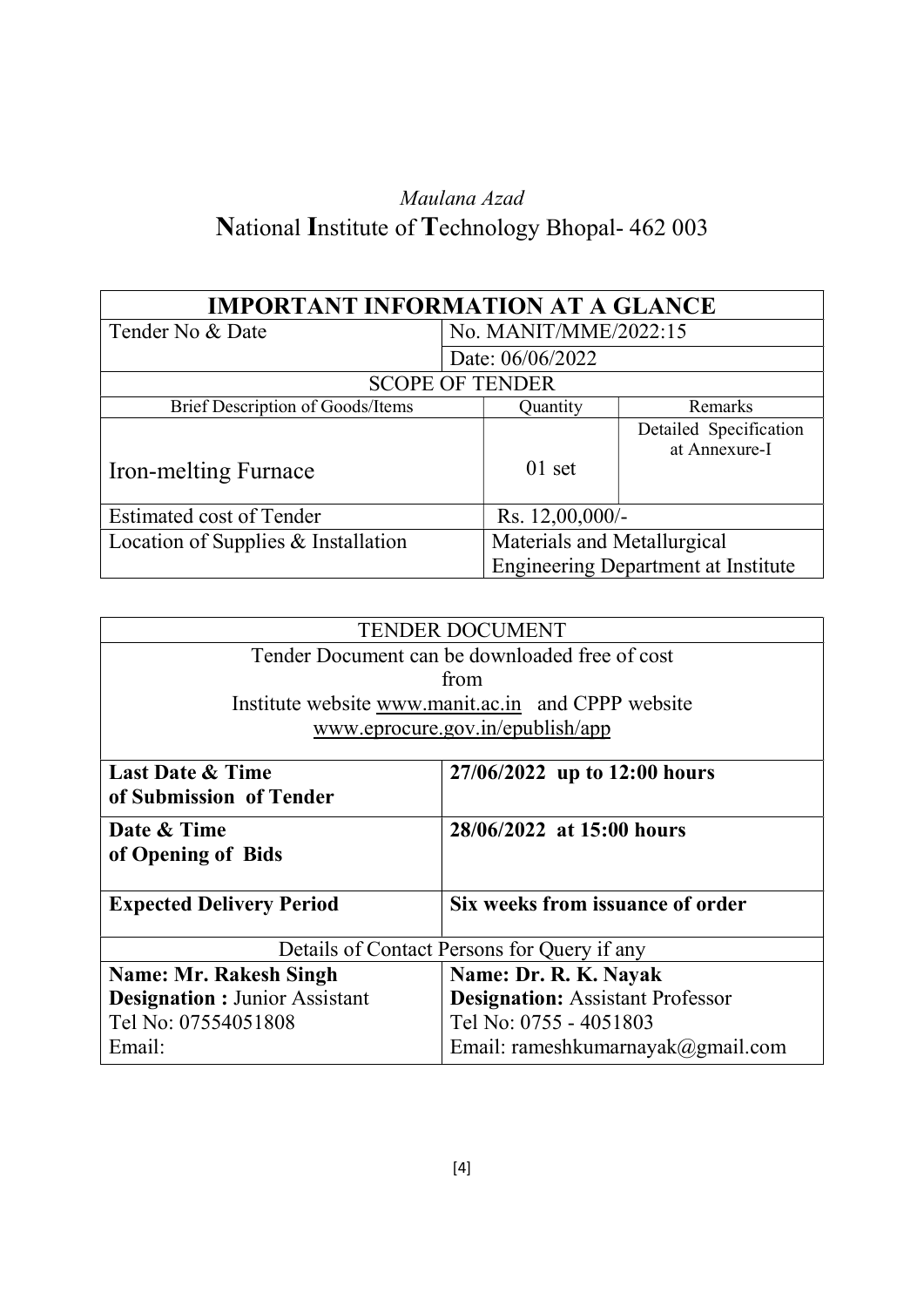# Maulana Azad National Institute of Technology Bhopal- 462 003

| <b>IMPORTANT INFORMATION AT A GLANCE</b> |                       |                             |                                            |  |
|------------------------------------------|-----------------------|-----------------------------|--------------------------------------------|--|
| Tender No & Date                         | No. MANIT/MME/2022:15 |                             |                                            |  |
|                                          |                       | Date: 06/06/2022            |                                            |  |
|                                          |                       | <b>SCOPE OF TENDER</b>      |                                            |  |
| Brief Description of Goods/Items         |                       | Quantity                    | Remarks                                    |  |
| <b>Iron-melting Furnace</b>              |                       | $01$ set                    | Detailed Specification<br>at Annexure-I    |  |
| <b>Estimated cost of Tender</b>          |                       | Rs. $12,00,000/-$           |                                            |  |
| Location of Supplies & Installation      |                       | Materials and Metallurgical | <b>Engineering Department at Institute</b> |  |

| <b>TENDER DOCUMENT</b>                         |                                                    |  |  |  |
|------------------------------------------------|----------------------------------------------------|--|--|--|
| Tender Document can be downloaded free of cost |                                                    |  |  |  |
|                                                | from                                               |  |  |  |
|                                                | Institute website www.manit.ac.in and CPPP website |  |  |  |
|                                                | www.eprocure.gov.in/epublish/app                   |  |  |  |
|                                                |                                                    |  |  |  |
| <b>Last Date &amp; Time</b>                    | 27/06/2022 up to 12:00 hours                       |  |  |  |
| of Submission of Tender                        |                                                    |  |  |  |
| Date & Time                                    | 28/06/2022 at 15:00 hours                          |  |  |  |
| of Opening of Bids                             |                                                    |  |  |  |
|                                                |                                                    |  |  |  |
| <b>Expected Delivery Period</b>                | Six weeks from issuance of order                   |  |  |  |
|                                                |                                                    |  |  |  |
| Details of Contact Persons for Query if any    |                                                    |  |  |  |
| <b>Name: Mr. Rakesh Singh</b>                  | Name: Dr. R. K. Nayak                              |  |  |  |
| <b>Designation : Junior Assistant</b>          | <b>Designation: Assistant Professor</b>            |  |  |  |
| Tel No: 07554051808<br>Tel No: 0755 - 4051803  |                                                    |  |  |  |
| Email:                                         | Email: rameshkumarnayak@gmail.com                  |  |  |  |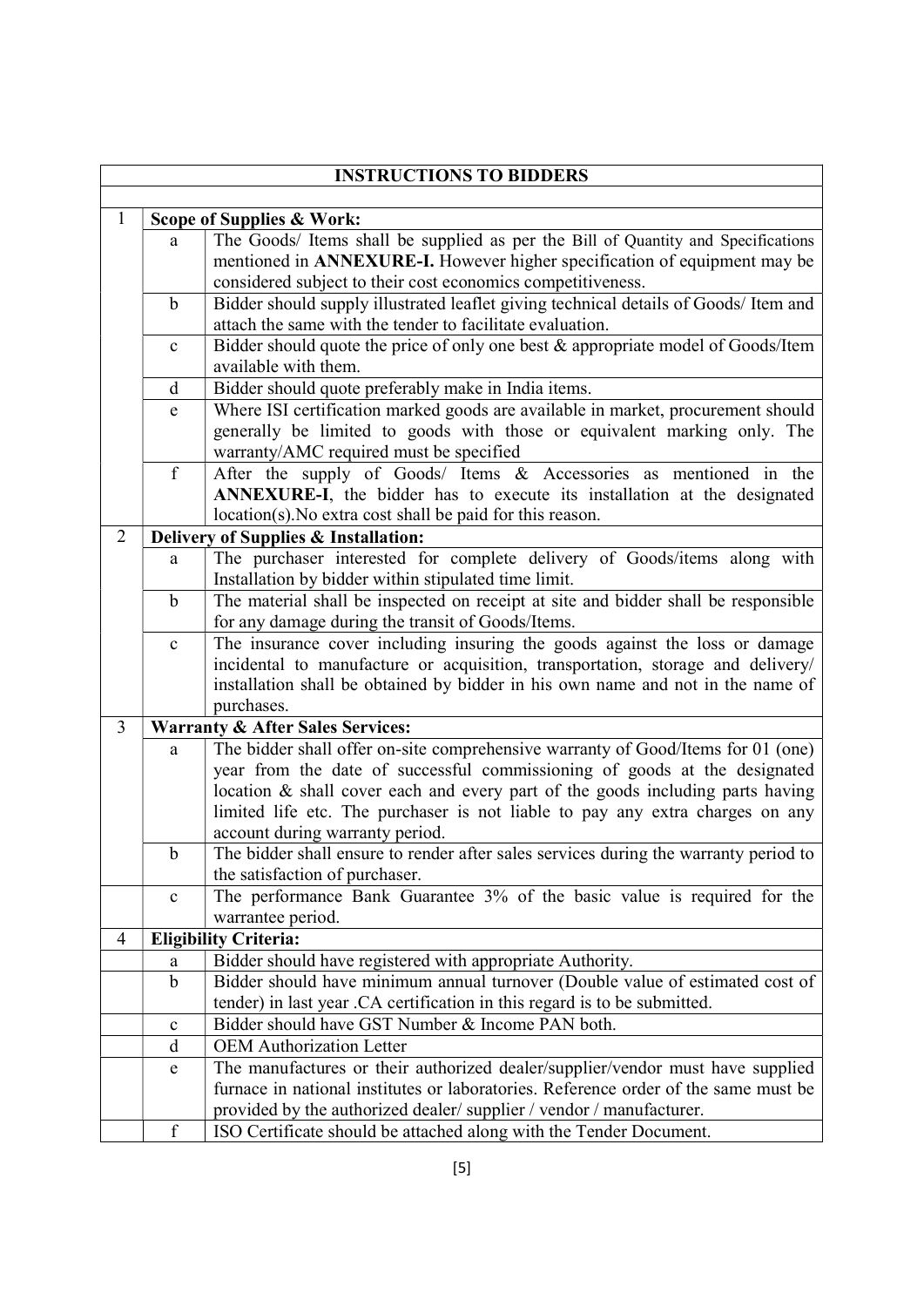|                |                                             | <b>INSTRUCTIONS TO BIDDERS</b>                                                                                                                    |  |  |
|----------------|---------------------------------------------|---------------------------------------------------------------------------------------------------------------------------------------------------|--|--|
|                |                                             |                                                                                                                                                   |  |  |
| 1              |                                             | Scope of Supplies & Work:                                                                                                                         |  |  |
|                | a                                           | The Goods/ Items shall be supplied as per the Bill of Quantity and Specifications                                                                 |  |  |
|                |                                             | mentioned in ANNEXURE-I. However higher specification of equipment may be                                                                         |  |  |
|                |                                             | considered subject to their cost economics competitiveness.                                                                                       |  |  |
|                | $\mathbf b$                                 | Bidder should supply illustrated leaflet giving technical details of Goods/ Item and<br>attach the same with the tender to facilitate evaluation. |  |  |
|                | $\mathbf c$                                 | Bidder should quote the price of only one best & appropriate model of Goods/Item                                                                  |  |  |
|                |                                             | available with them.                                                                                                                              |  |  |
|                | d                                           | Bidder should quote preferably make in India items.                                                                                               |  |  |
|                | $\mathbf e$                                 | Where ISI certification marked goods are available in market, procurement should                                                                  |  |  |
|                |                                             | generally be limited to goods with those or equivalent marking only. The                                                                          |  |  |
|                |                                             | warranty/AMC required must be specified                                                                                                           |  |  |
|                | $\mathbf f$                                 | After the supply of Goods/ Items & Accessories as mentioned in the                                                                                |  |  |
|                |                                             | ANNEXURE-I, the bidder has to execute its installation at the designated                                                                          |  |  |
|                |                                             | location(s). No extra cost shall be paid for this reason.                                                                                         |  |  |
| $\overline{2}$ |                                             | Delivery of Supplies & Installation:                                                                                                              |  |  |
|                | a                                           | The purchaser interested for complete delivery of Goods/items along with                                                                          |  |  |
|                |                                             | Installation by bidder within stipulated time limit.                                                                                              |  |  |
|                | $\mathbf b$                                 | The material shall be inspected on receipt at site and bidder shall be responsible                                                                |  |  |
|                |                                             | for any damage during the transit of Goods/Items.                                                                                                 |  |  |
|                | $\mathbf c$                                 | The insurance cover including insuring the goods against the loss or damage                                                                       |  |  |
|                |                                             | incidental to manufacture or acquisition, transportation, storage and delivery/                                                                   |  |  |
|                |                                             | installation shall be obtained by bidder in his own name and not in the name of                                                                   |  |  |
|                |                                             | purchases.                                                                                                                                        |  |  |
| $\overline{3}$ | <b>Warranty &amp; After Sales Services:</b> |                                                                                                                                                   |  |  |
|                | a                                           | The bidder shall offer on-site comprehensive warranty of Good/Items for 01 (one)                                                                  |  |  |
|                |                                             | year from the date of successful commissioning of goods at the designated                                                                         |  |  |
|                |                                             | location & shall cover each and every part of the goods including parts having                                                                    |  |  |
|                |                                             | limited life etc. The purchaser is not liable to pay any extra charges on any                                                                     |  |  |
|                |                                             | account during warranty period.                                                                                                                   |  |  |
|                | b                                           | The bidder shall ensure to render after sales services during the warranty period to<br>the satisfaction of purchaser.                            |  |  |
|                | $\mathbf c$                                 | The performance Bank Guarantee 3% of the basic value is required for the                                                                          |  |  |
|                |                                             | warrantee period.                                                                                                                                 |  |  |
| 4              |                                             | <b>Eligibility Criteria:</b>                                                                                                                      |  |  |
|                | a                                           | Bidder should have registered with appropriate Authority.                                                                                         |  |  |
|                | $\mathbf b$                                 | Bidder should have minimum annual turnover (Double value of estimated cost of                                                                     |  |  |
|                |                                             | tender) in last year .CA certification in this regard is to be submitted.                                                                         |  |  |
|                | $\mathbf c$                                 | Bidder should have GST Number & Income PAN both.                                                                                                  |  |  |
|                | d                                           | <b>OEM</b> Authorization Letter                                                                                                                   |  |  |
|                | ${\bf e}$                                   | The manufactures or their authorized dealer/supplier/vendor must have supplied                                                                    |  |  |
|                |                                             | furnace in national institutes or laboratories. Reference order of the same must be                                                               |  |  |
|                |                                             | provided by the authorized dealer/supplier / vendor / manufacturer.                                                                               |  |  |
|                | $\mathbf f$                                 | ISO Certificate should be attached along with the Tender Document.                                                                                |  |  |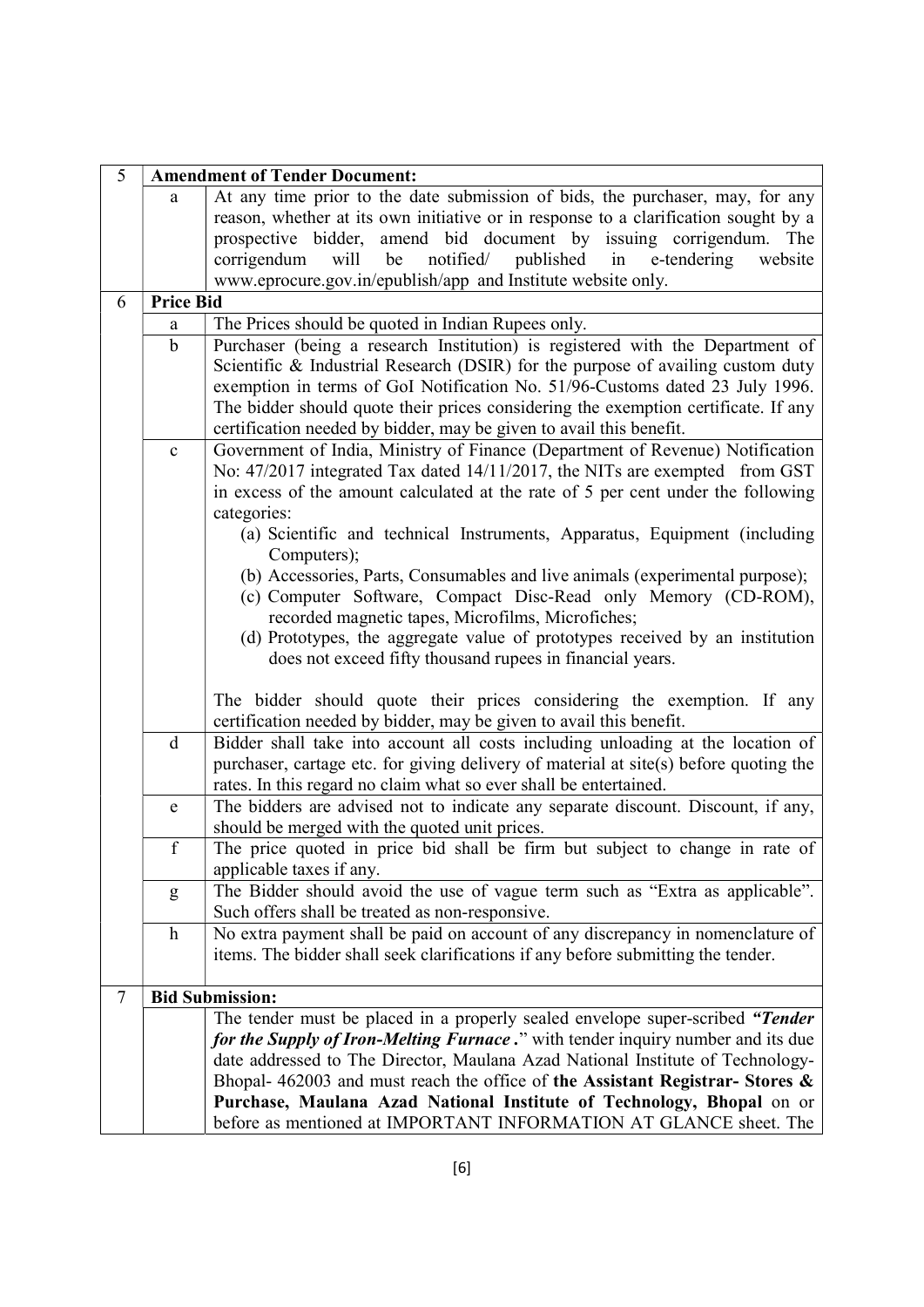| 5 | <b>Amendment of Tender Document:</b> |                                                                                                                                                                                                                                                                                                                                                                                                                                                                                                                                                                                                  |  |  |
|---|--------------------------------------|--------------------------------------------------------------------------------------------------------------------------------------------------------------------------------------------------------------------------------------------------------------------------------------------------------------------------------------------------------------------------------------------------------------------------------------------------------------------------------------------------------------------------------------------------------------------------------------------------|--|--|
|   | a                                    | At any time prior to the date submission of bids, the purchaser, may, for any<br>reason, whether at its own initiative or in response to a clarification sought by a<br>prospective bidder, amend bid document by issuing corrigendum. The<br>notified/ published in e-tendering<br>will be<br>corrigendum<br>website                                                                                                                                                                                                                                                                            |  |  |
|   |                                      | www.eprocure.gov.in/epublish/app and Institute website only.                                                                                                                                                                                                                                                                                                                                                                                                                                                                                                                                     |  |  |
| 6 | <b>Price Bid</b>                     |                                                                                                                                                                                                                                                                                                                                                                                                                                                                                                                                                                                                  |  |  |
|   | a                                    | The Prices should be quoted in Indian Rupees only.                                                                                                                                                                                                                                                                                                                                                                                                                                                                                                                                               |  |  |
|   | $\mathbf b$                          | Purchaser (being a research Institution) is registered with the Department of<br>Scientific & Industrial Research (DSIR) for the purpose of availing custom duty<br>exemption in terms of GoI Notification No. 51/96-Customs dated 23 July 1996.<br>The bidder should quote their prices considering the exemption certificate. If any<br>certification needed by bidder, may be given to avail this benefit.                                                                                                                                                                                    |  |  |
|   | $\mathbf c$                          | Government of India, Ministry of Finance (Department of Revenue) Notification<br>No: 47/2017 integrated Tax dated 14/11/2017, the NITs are exempted from GST<br>in excess of the amount calculated at the rate of 5 per cent under the following<br>categories:<br>(a) Scientific and technical Instruments, Apparatus, Equipment (including<br>Computers);<br>(b) Accessories, Parts, Consumables and live animals (experimental purpose);<br>(c) Computer Software, Compact Disc-Read only Memory (CD-ROM),                                                                                    |  |  |
|   | $\mathbf d$                          | recorded magnetic tapes, Microfilms, Microfiches;<br>(d) Prototypes, the aggregate value of prototypes received by an institution<br>does not exceed fifty thousand rupees in financial years.<br>The bidder should quote their prices considering the exemption. If any<br>certification needed by bidder, may be given to avail this benefit.<br>Bidder shall take into account all costs including unloading at the location of<br>purchaser, cartage etc. for giving delivery of material at site(s) before quoting the<br>rates. In this regard no claim what so ever shall be entertained. |  |  |
|   | $\mathbf e$                          | The bidders are advised not to indicate any separate discount. Discount, if any,<br>should be merged with the quoted unit prices.                                                                                                                                                                                                                                                                                                                                                                                                                                                                |  |  |
|   | $\mathbf f$                          | The price quoted in price bid shall be firm but subject to change in rate of<br>applicable taxes if any.                                                                                                                                                                                                                                                                                                                                                                                                                                                                                         |  |  |
|   | g                                    | The Bidder should avoid the use of vague term such as "Extra as applicable".<br>Such offers shall be treated as non-responsive.                                                                                                                                                                                                                                                                                                                                                                                                                                                                  |  |  |
|   | $\boldsymbol{h}$                     | No extra payment shall be paid on account of any discrepancy in nomenclature of<br>items. The bidder shall seek clarifications if any before submitting the tender.                                                                                                                                                                                                                                                                                                                                                                                                                              |  |  |
| 7 |                                      | <b>Bid Submission:</b>                                                                                                                                                                                                                                                                                                                                                                                                                                                                                                                                                                           |  |  |
|   |                                      | The tender must be placed in a properly sealed envelope super-scribed "Tender<br>for the Supply of Iron-Melting Furnace." with tender inquiry number and its due<br>date addressed to The Director, Maulana Azad National Institute of Technology-<br>Bhopal- 462003 and must reach the office of the Assistant Registrar- Stores $\&$<br>Purchase, Maulana Azad National Institute of Technology, Bhopal on or<br>before as mentioned at IMPORTANT INFORMATION AT GLANCE sheet. The                                                                                                             |  |  |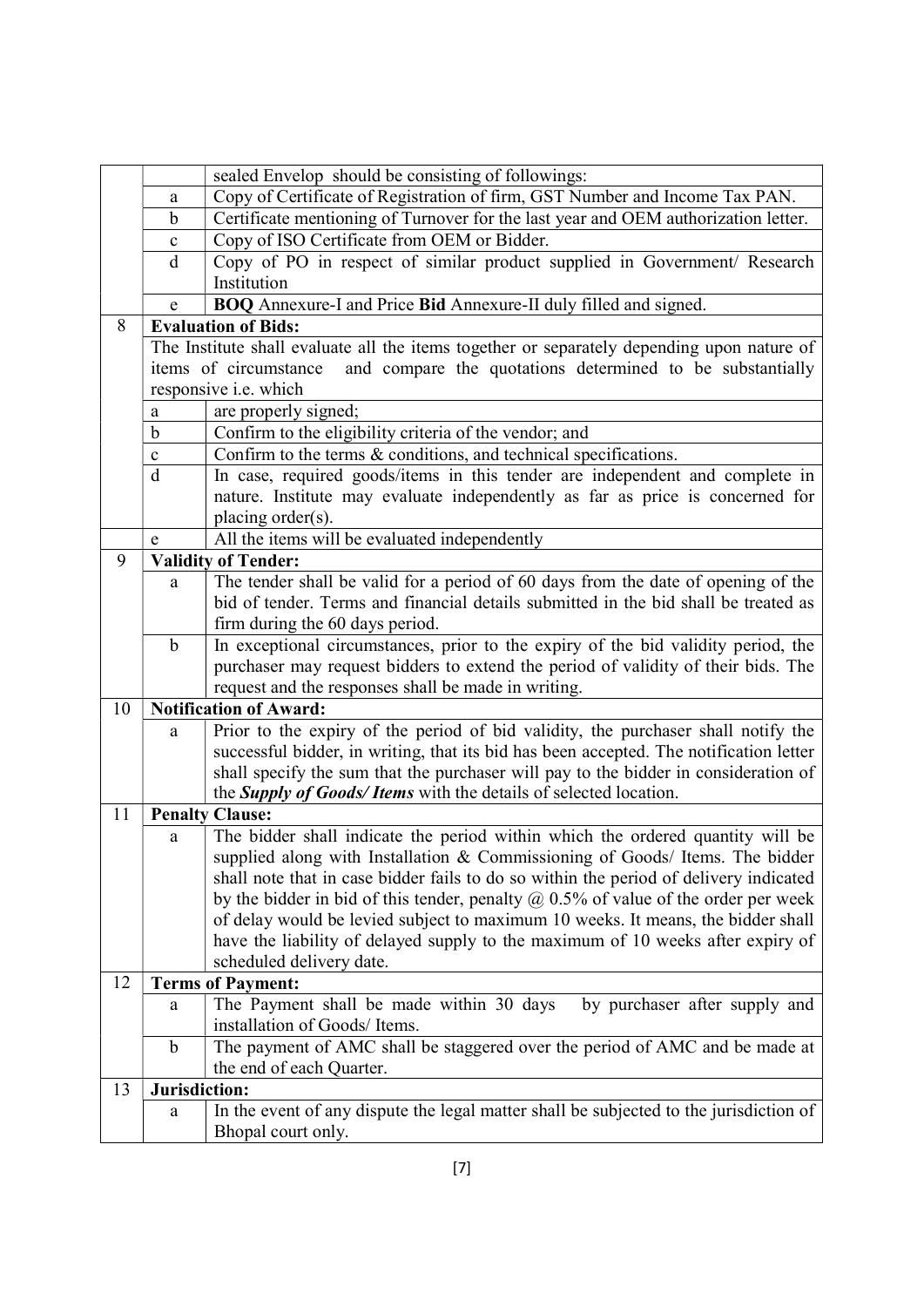|    |               | sealed Envelop should be consisting of followings:                                          |  |  |  |
|----|---------------|---------------------------------------------------------------------------------------------|--|--|--|
|    | a             | Copy of Certificate of Registration of firm, GST Number and Income Tax PAN.                 |  |  |  |
|    | $\mathbf b$   | Certificate mentioning of Turnover for the last year and OEM authorization letter.          |  |  |  |
|    | $\mathbf c$   | Copy of ISO Certificate from OEM or Bidder.                                                 |  |  |  |
|    | d             | Copy of PO in respect of similar product supplied in Government/ Research                   |  |  |  |
|    |               | Institution                                                                                 |  |  |  |
|    | e             | BOQ Annexure-I and Price Bid Annexure-II duly filled and signed.                            |  |  |  |
| 8  |               | <b>Evaluation of Bids:</b>                                                                  |  |  |  |
|    |               | The Institute shall evaluate all the items together or separately depending upon nature of  |  |  |  |
|    |               | and compare the quotations determined to be substantially<br>items of circumstance          |  |  |  |
|    |               | responsive <i>i.e.</i> which                                                                |  |  |  |
|    | a             | are properly signed;                                                                        |  |  |  |
|    | b             | Confirm to the eligibility criteria of the vendor; and                                      |  |  |  |
|    | c             | Confirm to the terms & conditions, and technical specifications.                            |  |  |  |
|    | $\mathbf d$   | In case, required goods/items in this tender are independent and complete in                |  |  |  |
|    |               | nature. Institute may evaluate independently as far as price is concerned for               |  |  |  |
|    |               | placing order(s).                                                                           |  |  |  |
|    | e             | All the items will be evaluated independently                                               |  |  |  |
| 9  |               | <b>Validity of Tender:</b>                                                                  |  |  |  |
|    | a             | The tender shall be valid for a period of 60 days from the date of opening of the           |  |  |  |
|    |               | bid of tender. Terms and financial details submitted in the bid shall be treated as         |  |  |  |
|    |               | firm during the 60 days period.                                                             |  |  |  |
|    | $\mathbf b$   | In exceptional circumstances, prior to the expiry of the bid validity period, the           |  |  |  |
|    |               | purchaser may request bidders to extend the period of validity of their bids. The           |  |  |  |
|    |               | request and the responses shall be made in writing.                                         |  |  |  |
| 10 |               | <b>Notification of Award:</b>                                                               |  |  |  |
|    | a             | Prior to the expiry of the period of bid validity, the purchaser shall notify the           |  |  |  |
|    |               | successful bidder, in writing, that its bid has been accepted. The notification letter      |  |  |  |
|    |               | shall specify the sum that the purchaser will pay to the bidder in consideration of         |  |  |  |
| 11 |               | the Supply of Goods/ Items with the details of selected location.<br><b>Penalty Clause:</b> |  |  |  |
|    |               | The bidder shall indicate the period within which the ordered quantity will be              |  |  |  |
|    | a             | supplied along with Installation & Commissioning of Goods/ Items. The bidder                |  |  |  |
|    |               | shall note that in case bidder fails to do so within the period of delivery indicated       |  |  |  |
|    |               | by the bidder in bid of this tender, penalty $@$ 0.5% of value of the order per week        |  |  |  |
|    |               | of delay would be levied subject to maximum 10 weeks. It means, the bidder shall            |  |  |  |
|    |               | have the liability of delayed supply to the maximum of 10 weeks after expiry of             |  |  |  |
|    |               | scheduled delivery date.                                                                    |  |  |  |
| 12 |               | <b>Terms of Payment:</b>                                                                    |  |  |  |
|    | a             | The Payment shall be made within 30 days<br>by purchaser after supply and                   |  |  |  |
|    |               | installation of Goods/ Items.                                                               |  |  |  |
|    | $\mathbf b$   | The payment of AMC shall be staggered over the period of AMC and be made at                 |  |  |  |
|    |               | the end of each Quarter.                                                                    |  |  |  |
| 13 | Jurisdiction: |                                                                                             |  |  |  |
|    | a             | In the event of any dispute the legal matter shall be subjected to the jurisdiction of      |  |  |  |
|    |               | Bhopal court only.                                                                          |  |  |  |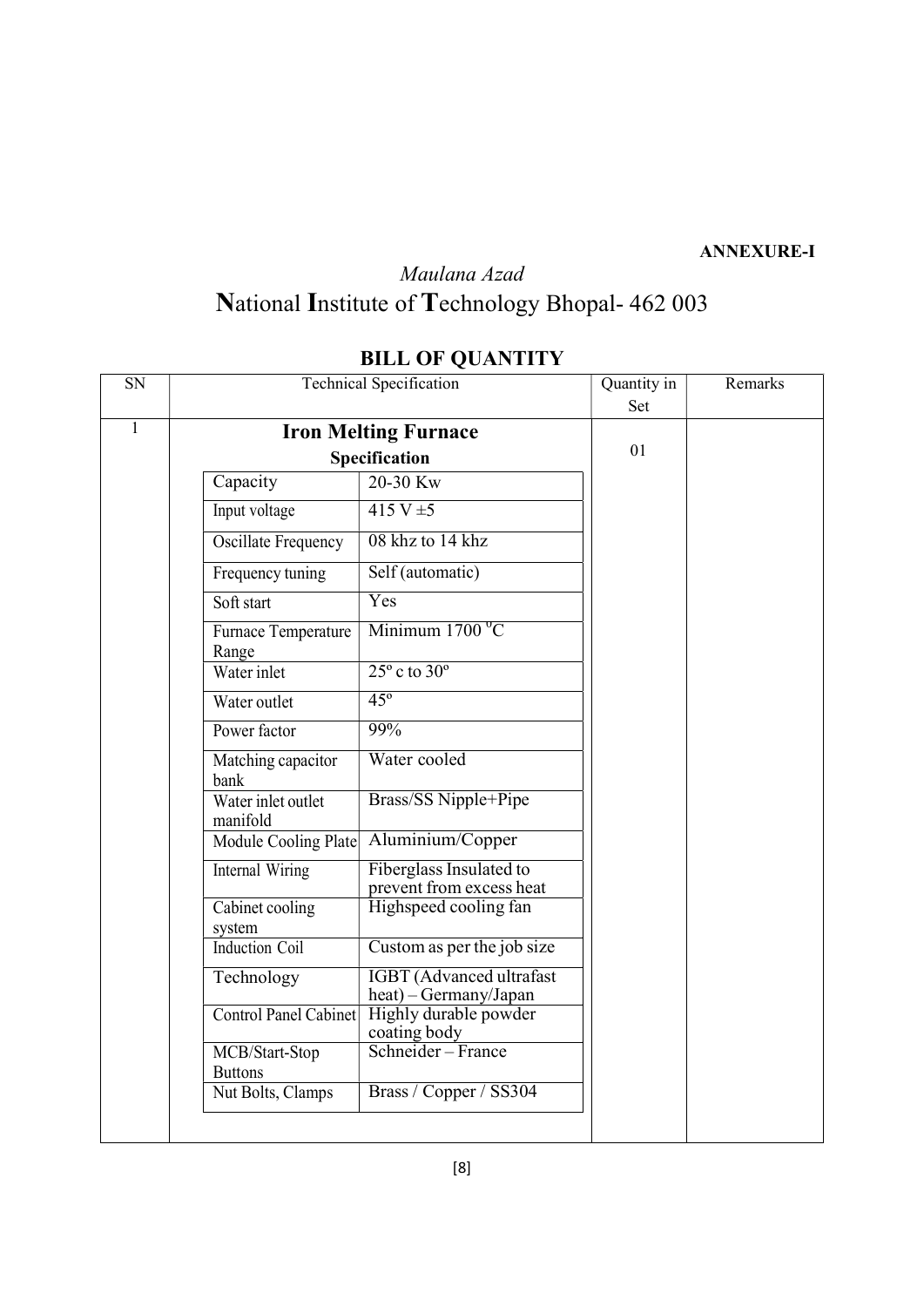#### ANNEXURE-I

# Maulana Azad National Institute of Technology Bhopal- 462 003

#### SN Technical Specification Quantity in Set Remarks <sup>1</sup> Iron Melting Furnace Specification Capacity 20-30 Kw Input voltage  $415 \text{ V} \pm 5$ Oscillate Frequency 08 khz to 14 khz Frequency tuning Self (automatic) Soft start Yes Furnace Temperature Range Minimum  $1700<sup>0</sup>C$ Water inlet  $25^\circ$  c to  $30^\circ$ Water outlet 45<sup>°</sup> Power factor 99% Matching capacitor bank Water cooled Water inlet outlet manifold Brass/SS Nipple+Pipe Module Cooling Plate Aluminium/Copper Internal Wiring Fiberglass Insulated to prevent from excess heat Cabinet cooling Highspeed cooling fan system and the system of the system of the system of the system of the system of the system of the system of the system of the system of the system of the system of the system of the system of the system of the system of t Induction Coil Custom as per the job size Technology IGBT (Advanced ultrafast heat) – Germany/Japan Control Panel Cabinet Highly durable powder coating body MCB/Start-Stop Schneider – France Buttons Nut Bolts, Clamps | Brass / Copper / SS304 01

#### BILL OF QUANTITY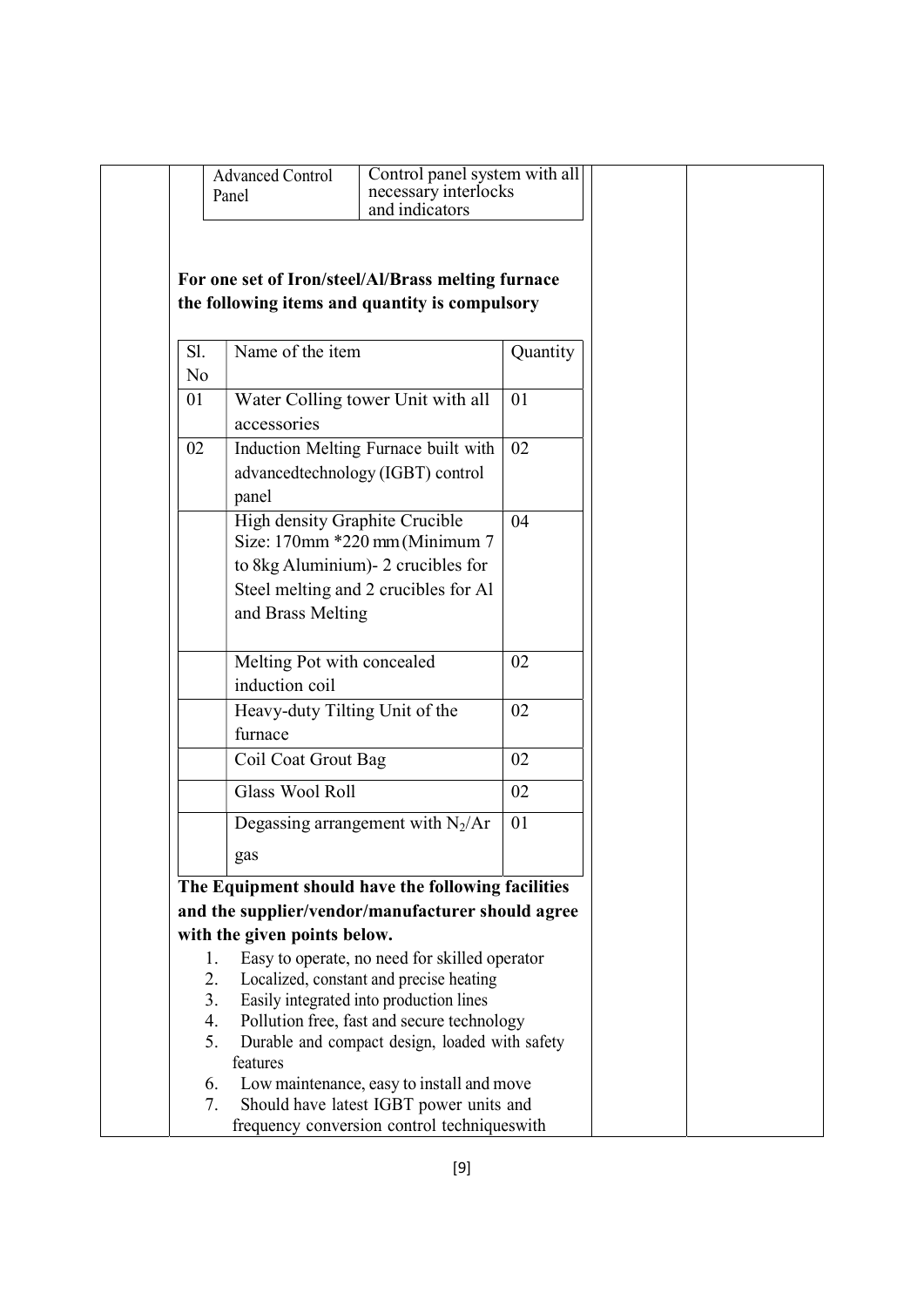|                            | <b>Advanced Control</b><br>necessary interlocks<br>Panel<br>and indicators                                                                                                                                                          | Control panel system with all |  |
|----------------------------|-------------------------------------------------------------------------------------------------------------------------------------------------------------------------------------------------------------------------------------|-------------------------------|--|
|                            | For one set of Iron/steel/Al/Brass melting furnace<br>the following items and quantity is compulsory                                                                                                                                |                               |  |
| Sl.<br>N <sub>o</sub>      | Name of the item                                                                                                                                                                                                                    | Quantity                      |  |
| 01                         | Water Colling tower Unit with all<br>accessories                                                                                                                                                                                    | 01                            |  |
| 02                         | Induction Melting Furnace built with<br>advancedtechnology (IGBT) control<br>panel                                                                                                                                                  | 02                            |  |
|                            | High density Graphite Crucible<br>Size: $170$ mm $*220$ mm (Minimum 7<br>to 8kg Aluminium) - 2 crucibles for<br>Steel melting and 2 crucibles for Al<br>and Brass Melting                                                           | 04                            |  |
|                            | Melting Pot with concealed<br>induction coil                                                                                                                                                                                        | 02                            |  |
|                            | Heavy-duty Tilting Unit of the<br>furnace                                                                                                                                                                                           | 02                            |  |
|                            | Coil Coat Grout Bag                                                                                                                                                                                                                 | 02                            |  |
|                            | <b>Glass Wool Roll</b>                                                                                                                                                                                                              | 02                            |  |
|                            | Degassing arrangement with $N_2/Ar$                                                                                                                                                                                                 | 01                            |  |
|                            | gas                                                                                                                                                                                                                                 |                               |  |
|                            | The Equipment should have the following facilities                                                                                                                                                                                  |                               |  |
|                            | and the supplier/vendor/manufacturer should agree                                                                                                                                                                                   |                               |  |
|                            | with the given points below.                                                                                                                                                                                                        |                               |  |
| 1.<br>2.<br>3.<br>4.<br>5. | Easy to operate, no need for skilled operator<br>Localized, constant and precise heating<br>Easily integrated into production lines<br>Pollution free, fast and secure technology<br>Durable and compact design, loaded with safety |                               |  |
| 6.<br>7.                   | features<br>Low maintenance, easy to install and move<br>Should have latest IGBT power units and                                                                                                                                    |                               |  |
|                            | frequency conversion control techniqueswith                                                                                                                                                                                         |                               |  |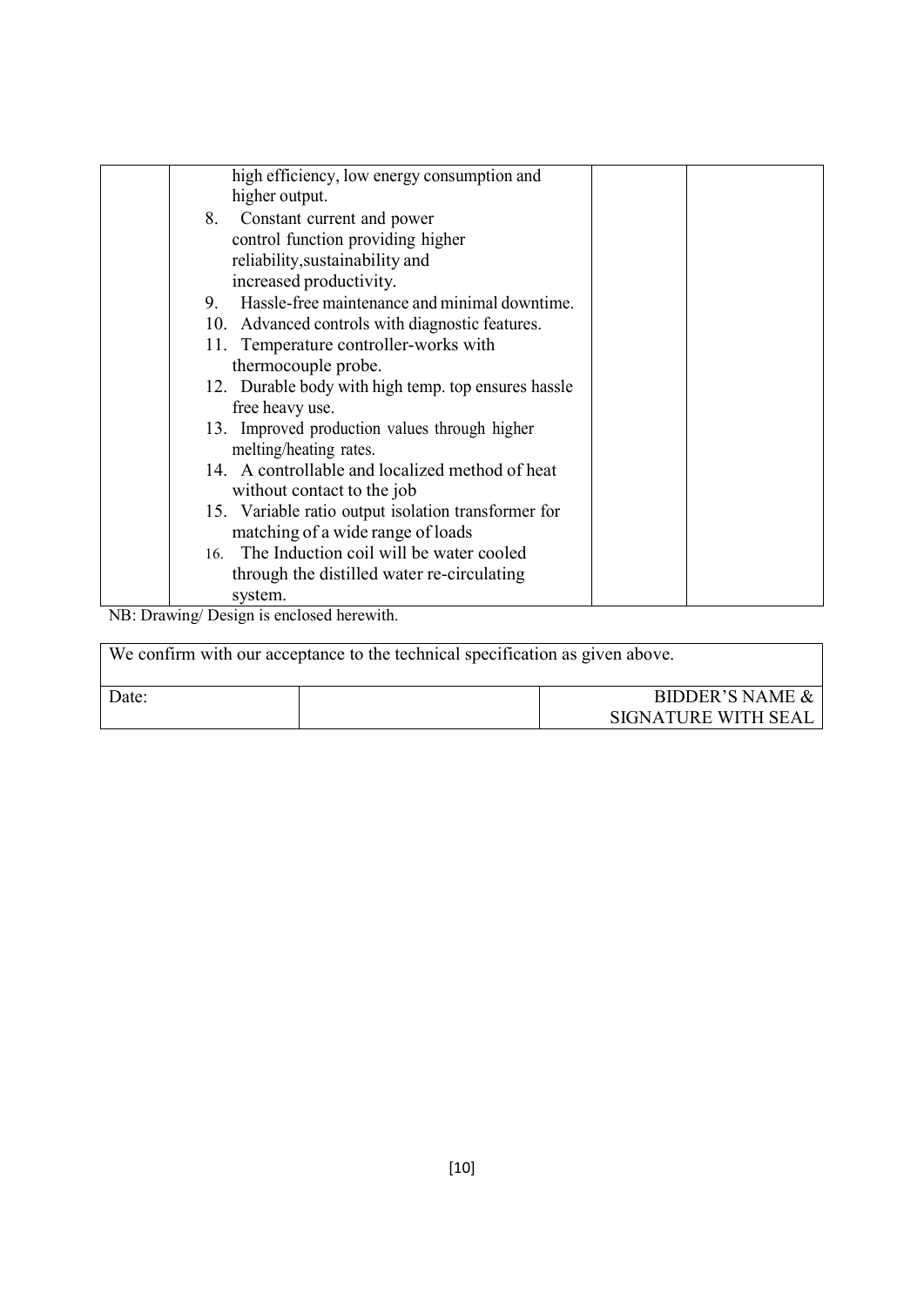| high efficiency, low energy consumption and<br>higher output.                                         |  |
|-------------------------------------------------------------------------------------------------------|--|
| 8. Constant current and power<br>control function providing higher<br>reliability, sustainability and |  |
| increased productivity.                                                                               |  |
| Hassle-free maintenance and minimal downtime.<br>9.                                                   |  |
| 10. Advanced controls with diagnostic features.                                                       |  |
| 11. Temperature controller-works with                                                                 |  |
| thermocouple probe.                                                                                   |  |
| 12. Durable body with high temp. top ensures hassle                                                   |  |
| free heavy use.                                                                                       |  |
| 13. Improved production values through higher                                                         |  |
| melting/heating rates.                                                                                |  |
| 14. A controllable and localized method of heat                                                       |  |
| without contact to the job                                                                            |  |
| 15. Variable ratio output isolation transformer for                                                   |  |
| matching of a wide range of loads                                                                     |  |
| 16. The Induction coil will be water cooled                                                           |  |
| through the distilled water re-circulating                                                            |  |
| system.                                                                                               |  |

NB: Drawing/ Design is enclosed herewith.

| We confirm with our acceptance to the technical specification as given above. |  |                                                   |  |
|-------------------------------------------------------------------------------|--|---------------------------------------------------|--|
| Date:                                                                         |  | <b>BIDDER'S NAME &amp;</b><br>SIGNATURE WITH SEAL |  |